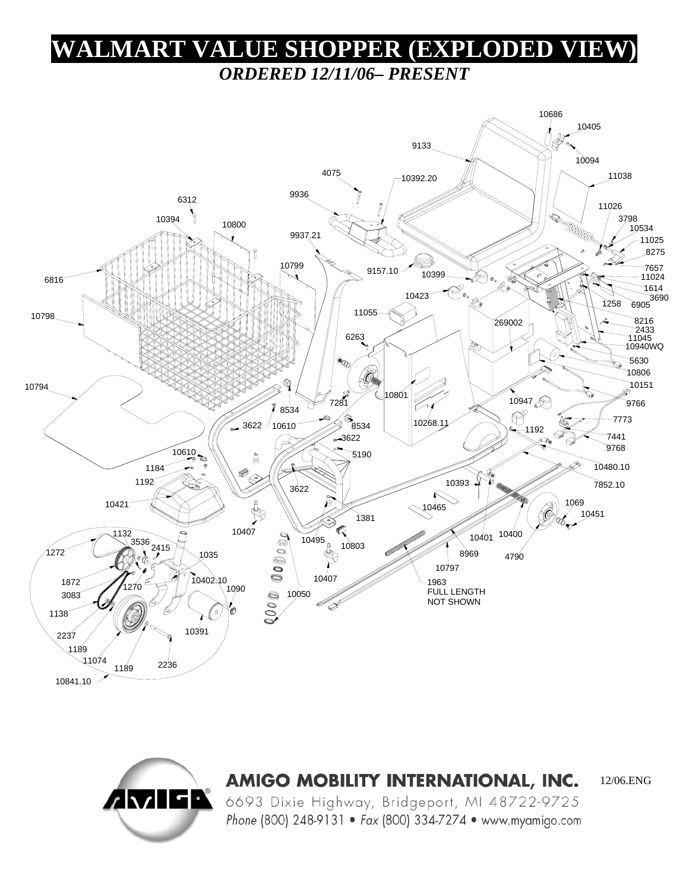## **WALMART VALUE SHOPPER (EXPLODED VIEW)**  *ORDERED 12/11/06– PRESENT*





AMIGO MOBILITY INTERNATIONAL, INC.

12/06.ENG

6693 Dixie Highway, Bridgeport, MI 48722-9725 Phone (800) 248-9131 • Fax (800) 334-7274 • www.myamigo.com